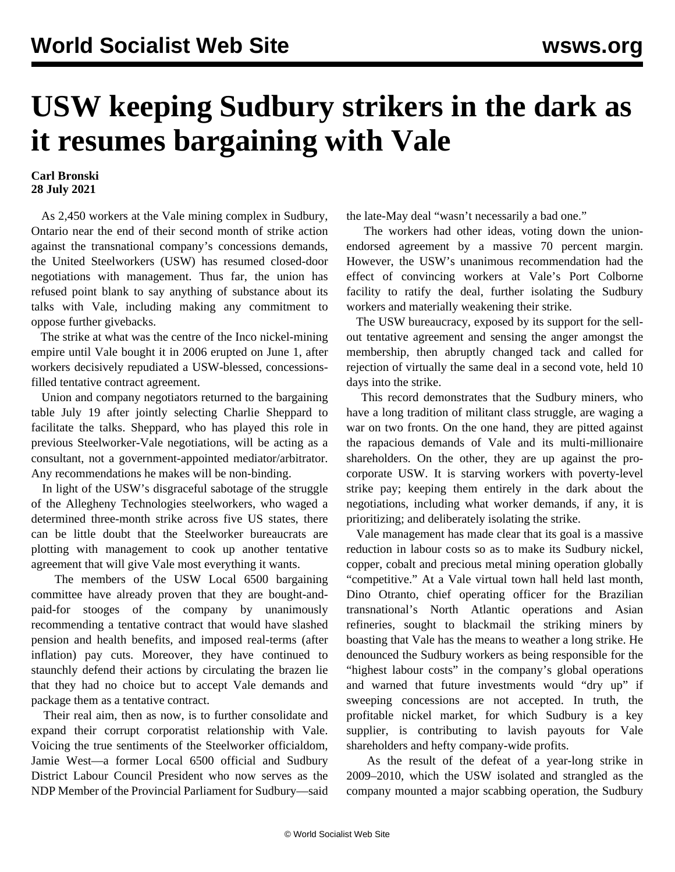## **USW keeping Sudbury strikers in the dark as it resumes bargaining with Vale**

## **Carl Bronski 28 July 2021**

 As 2,450 workers at the Vale mining complex in Sudbury, Ontario near the end of their second month of strike action against the transnational company's concessions demands, the United Steelworkers (USW) has resumed closed-door negotiations with management. Thus far, the union has refused point blank to say anything of substance about its talks with Vale, including making any commitment to oppose further givebacks.

 The strike at what was the centre of the Inco nickel-mining empire until Vale bought it in 2006 erupted on June 1, after workers decisively repudiated a USW-blessed, concessionsfilled tentative contract agreement.

 Union and company negotiators returned to the bargaining table July 19 after jointly selecting Charlie Sheppard to facilitate the talks. Sheppard, who has played this role in previous Steelworker-Vale negotiations, will be acting as a consultant, not a government-appointed mediator/arbitrator. Any recommendations he makes will be non-binding.

 In light of the USW's disgraceful [sabotage of the struggle](/en/articles/2021/07/26/atec-j26.html) [of the Allegheny Technologies steelworkers](/en/articles/2021/07/26/atec-j26.html), who waged a determined three-month strike across five US states, there can be little doubt that the Steelworker bureaucrats are plotting with management to cook up another tentative agreement that will give Vale most everything it wants.

 The members of the USW Local 6500 bargaining committee have already proven that they are bought-andpaid-for stooges of the company by unanimously recommending a tentative contract that would have slashed pension and health benefits, and imposed real-terms (after inflation) pay cuts. Moreover, they have continued to staunchly defend their actions by circulating the brazen lie that they had no choice but to accept Vale demands and package them as a tentative contract.

 Their real aim, then as now, is to further consolidate and expand their corrupt corporatist relationship with Vale. Voicing the true sentiments of the Steelworker officialdom, Jamie West—a former Local 6500 official and Sudbury District Labour Council President who now serves as the NDP Member of the Provincial Parliament for Sudbury—said the late-May deal "wasn't necessarily a bad one."

 The workers had other ideas, voting down the unionendorsed agreement by a massive 70 percent margin. However, the USW's unanimous recommendation had the effect of convincing workers at Vale's Port Colborne facility to ratify the deal, further isolating the Sudbury workers and materially weakening their strike.

 The USW bureaucracy, exposed by its support for the sellout tentative agreement and sensing the anger amongst the membership, then abruptly changed tack and called for rejection of virtually the same deal in a second vote, held 10 days into the strike.

 This record demonstrates that the Sudbury miners, who have a long tradition of militant class struggle, are waging a war on two fronts. On the one hand, they are pitted against the rapacious demands of Vale and its multi-millionaire shareholders. On the other, they are up against the procorporate USW. It is starving workers with poverty-level strike pay; keeping them entirely in the dark about the negotiations, including what worker demands, if any, it is prioritizing; and deliberately isolating the strike.

 Vale management has made clear that its goal is a massive reduction in labour costs so as to make its Sudbury nickel, copper, cobalt and precious metal mining operation globally "competitive." At a Vale virtual town hall held last month, Dino Otranto, chief operating officer for the Brazilian transnational's North Atlantic operations and Asian refineries, sought to blackmail the striking miners by boasting that Vale has the means to weather a long strike. He denounced the Sudbury workers as being responsible for the "highest labour costs" in the company's global operations and warned that future investments would "dry up" if sweeping concessions are not accepted. In truth, the profitable nickel market, for which Sudbury is a key supplier, is contributing to lavish payouts for Vale shareholders and hefty company-wide profits.

 As the result of the defeat of a year-long strike in 2009–2010, which the USW isolated and strangled as the company mounted a major scabbing operation, the Sudbury